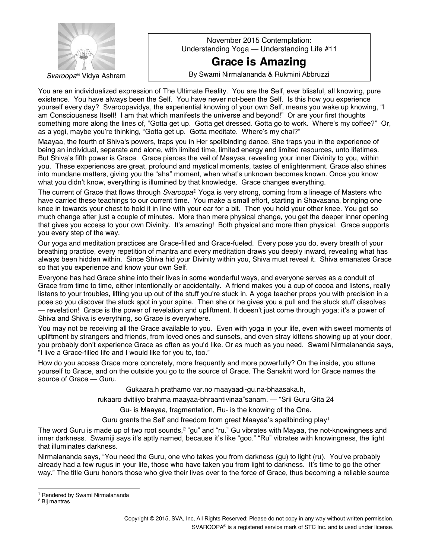

November 2015 Contemplation: Understanding Yoga — Understanding Life #11

## **Grace is Amazing**

**Svaroopa**® Vidya Ashram **Reading Communist By Swami Nirmalananda & Rukmini Abbruzzi** 

You are an individualized expression of The Ultimate Reality. You are the Self, ever blissful, all knowing, pure existence. You have always been the Self. You have never not-been the Self. Is this how you experience yourself every day? Svaroopavidya, the experiential knowing of your own Self, means you wake up knowing, "I am Consciousness Itself! I am that which manifests the universe and beyond!" Or are your first thoughts something more along the lines of, "Gotta get up. Gotta get dressed. Gotta go to work. Where's my coffee?" Or, as a yogi, maybe you're thinking, "Gotta get up. Gotta meditate. Where's my chai?"

Maayaa, the fourth of Shiva's powers, traps you in Her spellbinding dance. She traps you in the experience of being an individual, separate and alone, with limited time, limited energy and limited resources, unto lifetimes. But Shivaís fifth power is Grace. Grace pierces the veil of Maayaa, revealing your inner Divinity to you, within you. These experiences are great, profound and mystical moments, tastes of enlightenment. Grace also shines into mundane matters, giving you the "aha" moment, when what's unknown becomes known. Once you know what you didnít know, everything is illumined by that knowledge. Grace changes everything.

The current of Grace that flows through *Svaroopa*® Yoga is very strong, coming from a lineage of Masters who have carried these teachings to our current time. You make a small effort, starting in Shavasana, bringing one knee in towards your chest to hold it in line with your ear for a bit. Then you hold your other knee. You get so much change after just a couple of minutes. More than mere physical change, you get the deeper inner opening that gives you access to your own Divinity. Itís amazing! Both physical and more than physical. Grace supports you every step of the way.

Our yoga and meditation practices are Grace-filled and Grace-fueled. Every pose you do, every breath of your breathing practice, every repetition of mantra and every meditation draws you deeply inward, revealing what has always been hidden within. Since Shiva hid your Divinity within you, Shiva must reveal it. Shiva emanates Grace so that you experience and know your own Self.

Everyone has had Grace shine into their lives in some wonderful ways, and everyone serves as a conduit of Grace from time to time, either intentionally or accidentally. A friend makes you a cup of cocoa and listens, really listens to your troubles, lifting you up out of the stuff you're stuck in. A yoga teacher props you with precision in a pose so you discover the stuck spot in your spine. Then she or he gives you a pull and the stuck stuff dissolves ó revelation! Grace is the power of revelation and upliftment. It doesnít just come through yoga; itís a power of Shiva and Shiva is everything, so Grace is everywhere.

You may not be receiving all the Grace available to you. Even with yoga in your life, even with sweet moments of upliftment by strangers and friends, from loved ones and sunsets, and even stray kittens showing up at your door, you probably don't experience Grace as often as you'd like. Or as much as you need. Swami Nirmalananda says, "I live a Grace-filled life and I would like for you to, too."

How do you access Grace more concretely, more frequently and more powerfully? On the inside, you attune yourself to Grace, and on the outside you go to the source of Grace. The Sanskrit word for Grace names the source of Grace  $-$  Guru.

Gukaara.h prathamo var.no maayaadi-gu.na-bhaasaka.h,

rukaaro dvitiiyo brahma maayaa-bhraantivinaa"sanam. - "Srii Guru Gita 24

Gu- is Maayaa, fragmentation, Ru- is the knowing of the One.

Guru grants the Self and freedom from great Maayaa's spellbinding  $play<sup>1</sup>$ 

The word Guru is made up of two root sounds,<sup>2</sup> "gu" and "ru." Gu vibrates with Mayaa, the not-knowingness and inner darkness. Swamiji says it's aptly named, because it's like "goo." "Ru" vibrates with knowingness, the light that illuminates darkness.

Nirmalananda says, "You need the Guru, one who takes you from darkness (gu) to light (ru). You've probably already had a few rugus in your life, those who have taken you from light to darkness. It's time to go the other way." The title Guru honors those who give their lives over to the force of Grace, thus becoming a reliable source

<sup>&</sup>lt;sup>1</sup> Rendered by Swami Nirmalananda

<sup>2</sup> Bij mantras